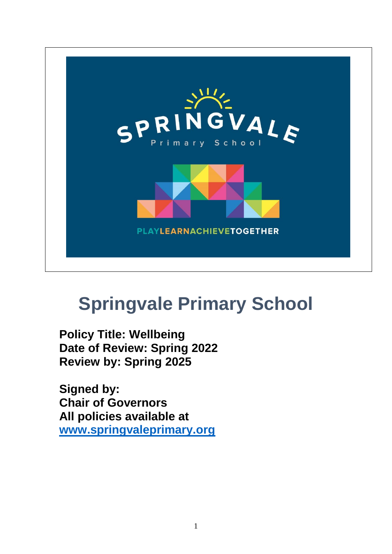

# **Springvale Primary School**

**Policy Title: Wellbeing Date of Review: Spring 2022 Review by: Spring 2025**

**Signed by: Chair of Governors All policies available at [www.springvaleprimary.org](http://www.springvaleprimary.org/)**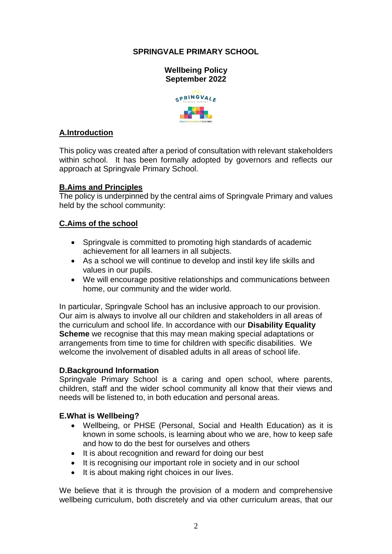# **SPRINGVALE PRIMARY SCHOOL**



# **A.Introduction**

This policy was created after a period of consultation with relevant stakeholders within school. It has been formally adopted by governors and reflects our approach at Springvale Primary School.

## **B.Aims and Principles**

The policy is underpinned by the central aims of Springvale Primary and values held by the school community:

## **C.Aims of the school**

- Springvale is committed to promoting high standards of academic achievement for all learners in all subjects.
- As a school we will continue to develop and instil key life skills and values in our pupils.
- We will encourage positive relationships and communications between home, our community and the wider world.

In particular, Springvale School has an inclusive approach to our provision. Our aim is always to involve all our children and stakeholders in all areas of the curriculum and school life. In accordance with our **Disability Equality Scheme** we recognise that this may mean making special adaptations or arrangements from time to time for children with specific disabilities. We welcome the involvement of disabled adults in all areas of school life.

## **D.Background Information**

Springvale Primary School is a caring and open school, where parents, children, staff and the wider school community all know that their views and needs will be listened to, in both education and personal areas.

## **E.What is Wellbeing?**

- Wellbeing, or PHSE (Personal, Social and Health Education) as it is known in some schools, is learning about who we are, how to keep safe and how to do the best for ourselves and others
- It is about recognition and reward for doing our best
- It is recognising our important role in society and in our school
- It is about making right choices in our lives.

We believe that it is through the provision of a modern and comprehensive wellbeing curriculum, both discretely and via other curriculum areas, that our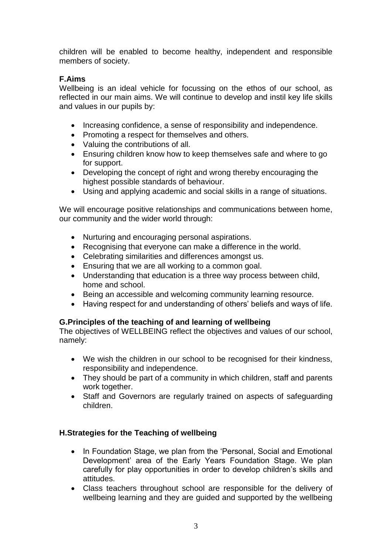children will be enabled to become healthy, independent and responsible members of society.

# **F.Aims**

Wellbeing is an ideal vehicle for focussing on the ethos of our school, as reflected in our main aims. We will continue to develop and instil key life skills and values in our pupils by:

- Increasing confidence, a sense of responsibility and independence.
- Promoting a respect for themselves and others.
- Valuing the contributions of all.
- Ensuring children know how to keep themselves safe and where to go for support.
- Developing the concept of right and wrong thereby encouraging the highest possible standards of behaviour.
- Using and applying academic and social skills in a range of situations.

We will encourage positive relationships and communications between home, our community and the wider world through:

- Nurturing and encouraging personal aspirations.
- Recognising that everyone can make a difference in the world.
- Celebrating similarities and differences amongst us.
- Ensuring that we are all working to a common goal.
- Understanding that education is a three way process between child, home and school.
- Being an accessible and welcoming community learning resource.
- Having respect for and understanding of others' beliefs and ways of life.

# **G.Principles of the teaching of and learning of wellbeing**

The objectives of WELLBEING reflect the objectives and values of our school, namely:

- We wish the children in our school to be recognised for their kindness, responsibility and independence.
- They should be part of a community in which children, staff and parents work together.
- Staff and Governors are regularly trained on aspects of safeguarding children.

# **H.Strategies for the Teaching of wellbeing**

- In Foundation Stage, we plan from the 'Personal, Social and Emotional Development' area of the Early Years Foundation Stage. We plan carefully for play opportunities in order to develop children's skills and attitudes.
- Class teachers throughout school are responsible for the delivery of wellbeing learning and they are guided and supported by the wellbeing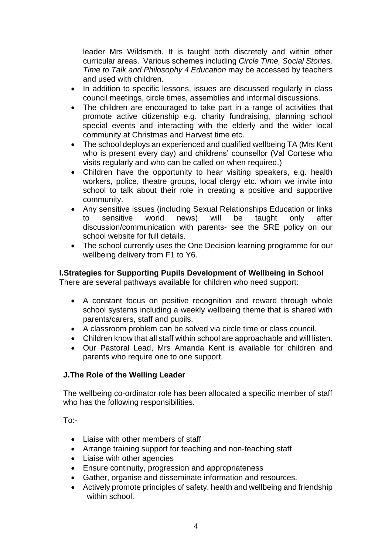leader Mrs Wildsmith. It is taught both discretely and within other curricular areas. Various schemes including *Circle Time, Social Stories, Time to Talk and Philosophy 4 Education* may be accessed by teachers and used with children.

- In addition to specific lessons, issues are discussed regularly in class council meetings, circle times, assemblies and informal discussions.
- The children are encouraged to take part in a range of activities that promote active citizenship e.g. charity fundraising, planning school special events and interacting with the elderly and the wider local community at Christmas and Harvest time etc.
- The school deploys an experienced and qualified wellbeing TA (Mrs Kent who is present every day) and childrens' counsellor (Val Cortese who visits regularly and who can be called on when required.)
- Children have the opportunity to hear visiting speakers, e.g. health workers, police, theatre groups, local clergy etc. whom we invite into school to talk about their role in creating a positive and supportive community.
- Any sensitive issues (including Sexual Relationships Education or links to sensitive world news) will be taught only after discussion/communication with parents- see the SRE policy on our school website for full details.
- The school currently uses the One Decision learning programme for our wellbeing delivery from F1 to Y6.

## **I.Strategies for Supporting Pupils Development of Wellbeing in School**

There are several pathways available for children who need support:

- A constant focus on positive recognition and reward through whole school systems including a weekly wellbeing theme that is shared with parents/carers, staff and pupils.
- A classroom problem can be solved via circle time or class council.
- Children know that all staff within school are approachable and will listen.
- Our Pastoral Lead, Mrs Amanda Kent is available for children and parents who require one to one support.

## **J.The Role of the Welling Leader**

The wellbeing co-ordinator role has been allocated a specific member of staff who has the following responsibilities.

To:-

- Liaise with other members of staff
- Arrange training support for teaching and non-teaching staff
- Liaise with other agencies
- Ensure continuity, progression and appropriateness
- Gather, organise and disseminate information and resources.
- Actively promote principles of safety, health and wellbeing and friendship within school.